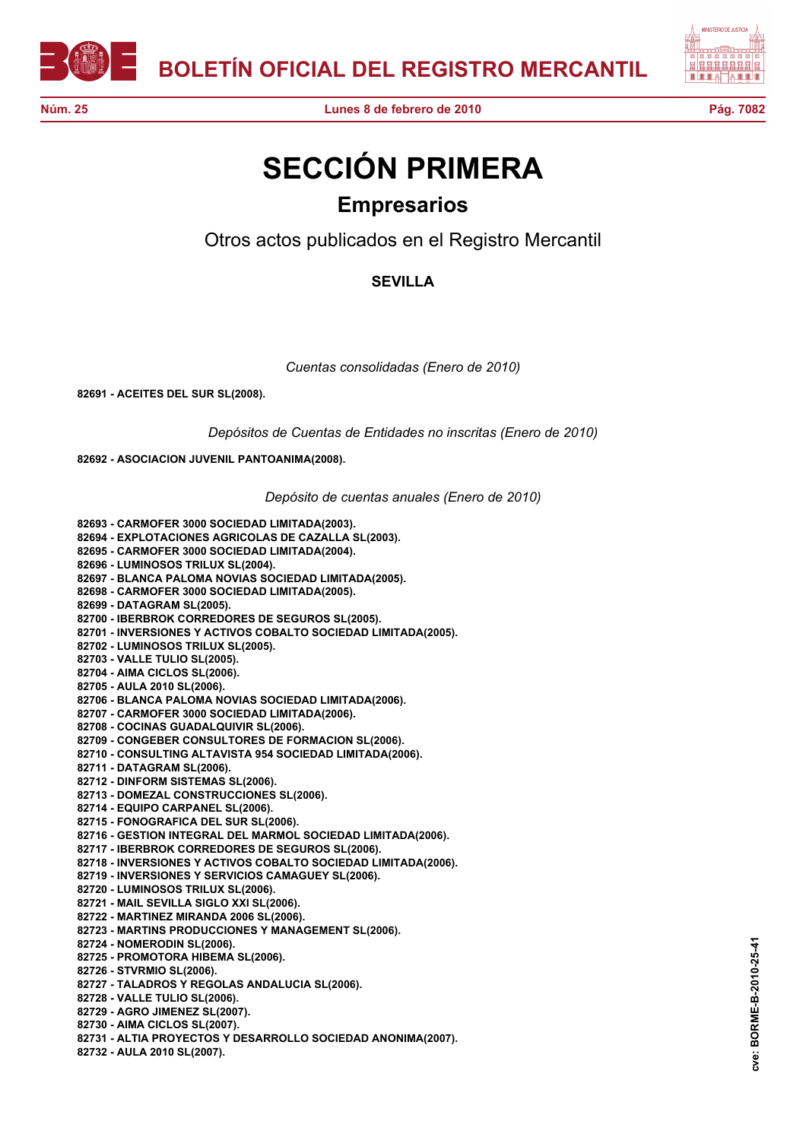



**Núm. 25 Lunes 8 de febrero de 2010 Pág. 7082**

## **SECCIÓN PRIMERA Empresarios**

Otros actos publicados en el Registro Mercantil

## **SEVILLA**

*Cuentas consolidadas (Enero de 2010)*

**82691 - ACEITES DEL SUR SL(2008).**

*Depósitos de Cuentas de Entidades no inscritas (Enero de 2010)*

**82692 - ASOCIACION JUVENIL PANTOANIMA(2008).**

*Depósito de cuentas anuales (Enero de 2010)*

**82693 - CARMOFER 3000 SOCIEDAD LIMITADA(2003). 82694 - EXPLOTACIONES AGRICOLAS DE CAZALLA SL(2003). 82695 - CARMOFER 3000 SOCIEDAD LIMITADA(2004). 82696 - LUMINOSOS TRILUX SL(2004). 82697 - BLANCA PALOMA NOVIAS SOCIEDAD LIMITADA(2005). 82698 - CARMOFER 3000 SOCIEDAD LIMITADA(2005). 82699 - DATAGRAM SL(2005). 82700 - IBERBROK CORREDORES DE SEGUROS SL(2005). 82701 - INVERSIONES Y ACTIVOS COBALTO SOCIEDAD LIMITADA(2005). 82702 - LUMINOSOS TRILUX SL(2005). 82703 - VALLE TULIO SL(2005). 82704 - AIMA CICLOS SL(2006). 82705 - AULA 2010 SL(2006). 82706 - BLANCA PALOMA NOVIAS SOCIEDAD LIMITADA(2006). 82707 - CARMOFER 3000 SOCIEDAD LIMITADA(2006). 82708 - COCINAS GUADALQUIVIR SL(2006). 82709 - CONGEBER CONSULTORES DE FORMACION SL(2006). 82710 - CONSULTING ALTAVISTA 954 SOCIEDAD LIMITADA(2006). 82711 - DATAGRAM SL(2006). 82712 - DINFORM SISTEMAS SL(2006). 82713 - DOMEZAL CONSTRUCCIONES SL(2006). 82714 - EQUIPO CARPANEL SL(2006). 82715 - FONOGRAFICA DEL SUR SL(2006). 82716 - GESTION INTEGRAL DEL MARMOL SOCIEDAD LIMITADA(2006). 82717 - IBERBROK CORREDORES DE SEGUROS SL(2006). 82718 - INVERSIONES Y ACTIVOS COBALTO SOCIEDAD LIMITADA(2006). 82719 - INVERSIONES Y SERVICIOS CAMAGUEY SL(2006). 82720 - LUMINOSOS TRILUX SL(2006). 82721 - MAIL SEVILLA SIGLO XXI SL(2006). 82722 - MARTINEZ MIRANDA 2006 SL(2006). 82723 - MARTINS PRODUCCIONES Y MANAGEMENT SL(2006). 82724 - NOMERODIN SL(2006). 82725 - PROMOTORA HIBEMA SL(2006). 82726 - STVRMIO SL(2006). 82727 - TALADROS Y REGOLAS ANDALUCIA SL(2006). 82728 - VALLE TULIO SL(2006). 82729 - AGRO JIMENEZ SL(2007). 82730 - AIMA CICLOS SL(2007).**

**82731 - ALTIA PROYECTOS Y DESARROLLO SOCIEDAD ANONIMA(2007).**

**82732 - AULA 2010 SL(2007).**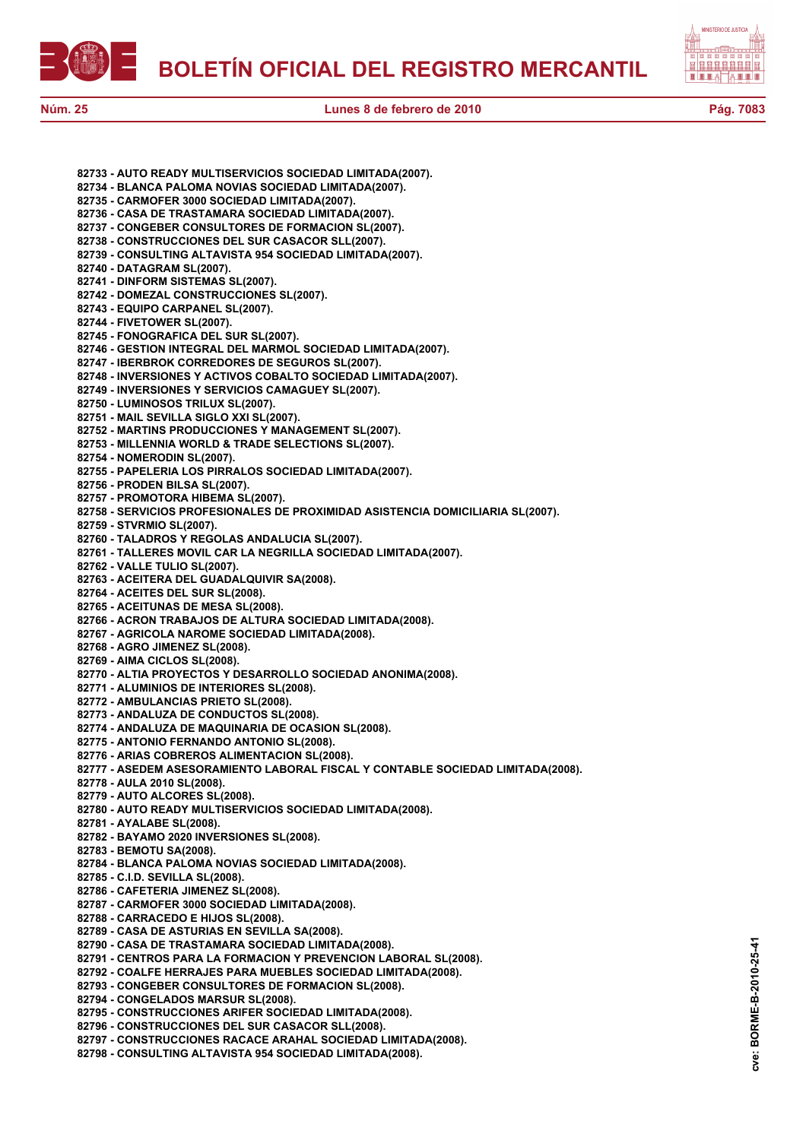



**Núm. 25 Lunes 8 de febrero de 2010 Pág. 7083**

**82733 - AUTO READY MULTISERVICIOS SOCIEDAD LIMITADA(2007). 82734 - BLANCA PALOMA NOVIAS SOCIEDAD LIMITADA(2007). 82735 - CARMOFER 3000 SOCIEDAD LIMITADA(2007). 82736 - CASA DE TRASTAMARA SOCIEDAD LIMITADA(2007). 82737 - CONGEBER CONSULTORES DE FORMACION SL(2007). 82738 - CONSTRUCCIONES DEL SUR CASACOR SLL(2007). 82739 - CONSULTING ALTAVISTA 954 SOCIEDAD LIMITADA(2007). 82740 - DATAGRAM SL(2007). 82741 - DINFORM SISTEMAS SL(2007). 82742 - DOMEZAL CONSTRUCCIONES SL(2007). 82743 - EQUIPO CARPANEL SL(2007). 82744 - FIVETOWER SL(2007). 82745 - FONOGRAFICA DEL SUR SL(2007). 82746 - GESTION INTEGRAL DEL MARMOL SOCIEDAD LIMITADA(2007). 82747 - IBERBROK CORREDORES DE SEGUROS SL(2007). 82748 - INVERSIONES Y ACTIVOS COBALTO SOCIEDAD LIMITADA(2007). 82749 - INVERSIONES Y SERVICIOS CAMAGUEY SL(2007). 82750 - LUMINOSOS TRILUX SL(2007). 82751 - MAIL SEVILLA SIGLO XXI SL(2007). 82752 - MARTINS PRODUCCIONES Y MANAGEMENT SL(2007). 82753 - MILLENNIA WORLD & TRADE SELECTIONS SL(2007). 82754 - NOMERODIN SL(2007). 82755 - PAPELERIA LOS PIRRALOS SOCIEDAD LIMITADA(2007). 82756 - PRODEN BILSA SL(2007). 82757 - PROMOTORA HIBEMA SL(2007). 82758 - SERVICIOS PROFESIONALES DE PROXIMIDAD ASISTENCIA DOMICILIARIA SL(2007). 82759 - STVRMIO SL(2007). 82760 - TALADROS Y REGOLAS ANDALUCIA SL(2007). 82761 - TALLERES MOVIL CAR LA NEGRILLA SOCIEDAD LIMITADA(2007). 82762 - VALLE TULIO SL(2007). 82763 - ACEITERA DEL GUADALQUIVIR SA(2008). 82764 - ACEITES DEL SUR SL(2008). 82765 - ACEITUNAS DE MESA SL(2008). 82766 - ACRON TRABAJOS DE ALTURA SOCIEDAD LIMITADA(2008). 82767 - AGRICOLA NAROME SOCIEDAD LIMITADA(2008). 82768 - AGRO JIMENEZ SL(2008). 82769 - AIMA CICLOS SL(2008). 82770 - ALTIA PROYECTOS Y DESARROLLO SOCIEDAD ANONIMA(2008). 82771 - ALUMINIOS DE INTERIORES SL(2008). 82772 - AMBULANCIAS PRIETO SL(2008). 82773 - ANDALUZA DE CONDUCTOS SL(2008). 82774 - ANDALUZA DE MAQUINARIA DE OCASION SL(2008). 82775 - ANTONIO FERNANDO ANTONIO SL(2008). 82776 - ARIAS COBREROS ALIMENTACION SL(2008). 82777 - ASEDEM ASESORAMIENTO LABORAL FISCAL Y CONTABLE SOCIEDAD LIMITADA(2008). 82778 - AULA 2010 SL(2008). 82779 - AUTO ALCORES SL(2008). 82780 - AUTO READY MULTISERVICIOS SOCIEDAD LIMITADA(2008). 82781 - AYALABE SL(2008). 82782 - BAYAMO 2020 INVERSIONES SL(2008). 82783 - BEMOTU SA(2008). 82784 - BLANCA PALOMA NOVIAS SOCIEDAD LIMITADA(2008). 82785 - C.I.D. SEVILLA SL(2008). 82786 - CAFETERIA JIMENEZ SL(2008). 82787 - CARMOFER 3000 SOCIEDAD LIMITADA(2008). 82788 - CARRACEDO E HIJOS SL(2008). 82789 - CASA DE ASTURIAS EN SEVILLA SA(2008). 82790 - CASA DE TRASTAMARA SOCIEDAD LIMITADA(2008). 82791 - CENTROS PARA LA FORMACION Y PREVENCION LABORAL SL(2008). 82792 - COALFE HERRAJES PARA MUEBLES SOCIEDAD LIMITADA(2008). 82793 - CONGEBER CONSULTORES DE FORMACION SL(2008). 82794 - CONGELADOS MARSUR SL(2008). 82795 - CONSTRUCCIONES ARIFER SOCIEDAD LIMITADA(2008). 82796 - CONSTRUCCIONES DEL SUR CASACOR SLL(2008). 82797 - CONSTRUCCIONES RACACE ARAHAL SOCIEDAD LIMITADA(2008). 82798 - CONSULTING ALTAVISTA 954 SOCIEDAD LIMITADA(2008).**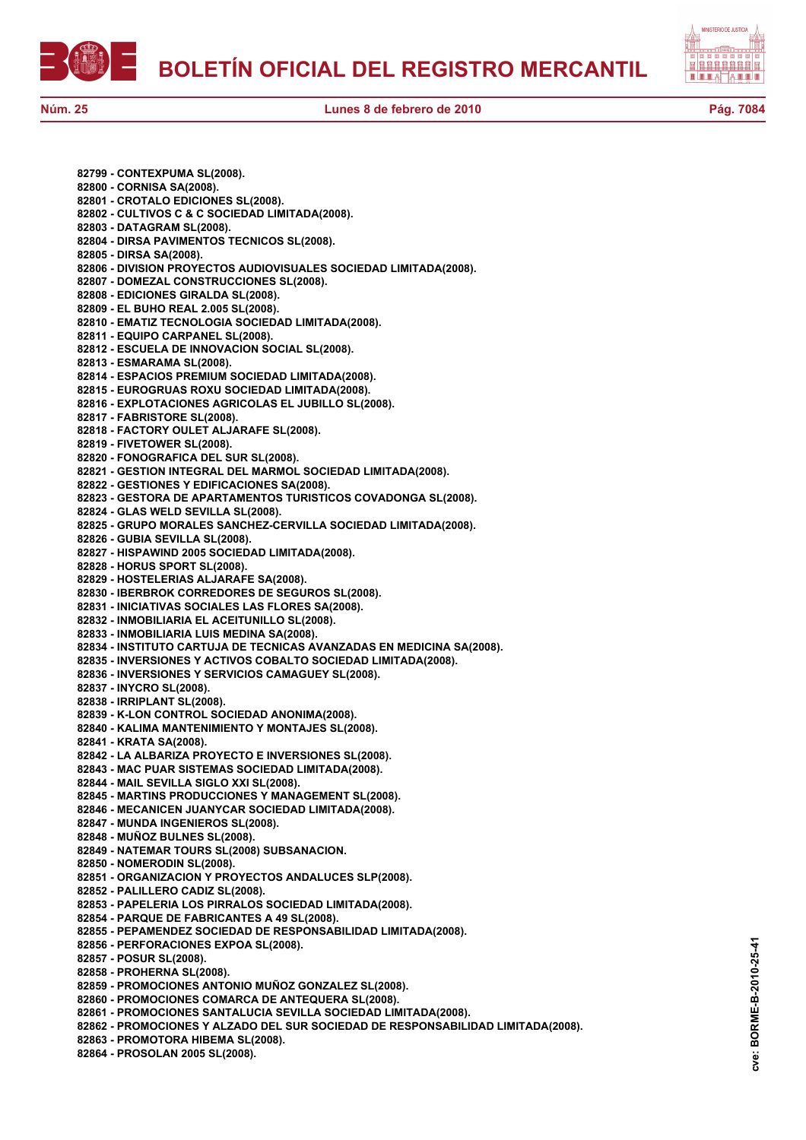自自自自自自自自 12 H H H

**Núm. 25 Lunes 8 de febrero de 2010 Pág. 7084**

**82799 - CONTEXPUMA SL(2008). 82800 - CORNISA SA(2008). 82801 - CROTALO EDICIONES SL(2008). 82802 - CULTIVOS C & C SOCIEDAD LIMITADA(2008). 82803 - DATAGRAM SL(2008). 82804 - DIRSA PAVIMENTOS TECNICOS SL(2008). 82805 - DIRSA SA(2008). 82806 - DIVISION PROYECTOS AUDIOVISUALES SOCIEDAD LIMITADA(2008). 82807 - DOMEZAL CONSTRUCCIONES SL(2008). 82808 - EDICIONES GIRALDA SL(2008). 82809 - EL BUHO REAL 2.005 SL(2008). 82810 - EMATIZ TECNOLOGIA SOCIEDAD LIMITADA(2008). 82811 - EQUIPO CARPANEL SL(2008). 82812 - ESCUELA DE INNOVACION SOCIAL SL(2008). 82813 - ESMARAMA SL(2008). 82814 - ESPACIOS PREMIUM SOCIEDAD LIMITADA(2008). 82815 - EUROGRUAS ROXU SOCIEDAD LIMITADA(2008). 82816 - EXPLOTACIONES AGRICOLAS EL JUBILLO SL(2008). 82817 - FABRISTORE SL(2008). 82818 - FACTORY OULET ALJARAFE SL(2008). 82819 - FIVETOWER SL(2008). 82820 - FONOGRAFICA DEL SUR SL(2008). 82821 - GESTION INTEGRAL DEL MARMOL SOCIEDAD LIMITADA(2008). 82822 - GESTIONES Y EDIFICACIONES SA(2008). 82823 - GESTORA DE APARTAMENTOS TURISTICOS COVADONGA SL(2008). 82824 - GLAS WELD SEVILLA SL(2008). 82825 - GRUPO MORALES SANCHEZ-CERVILLA SOCIEDAD LIMITADA(2008). 82826 - GUBIA SEVILLA SL(2008). 82827 - HISPAWIND 2005 SOCIEDAD LIMITADA(2008). 82828 - HORUS SPORT SL(2008). 82829 - HOSTELERIAS ALJARAFE SA(2008). 82830 - IBERBROK CORREDORES DE SEGUROS SL(2008). 82831 - INICIATIVAS SOCIALES LAS FLORES SA(2008). 82832 - INMOBILIARIA EL ACEITUNILLO SL(2008). 82833 - INMOBILIARIA LUIS MEDINA SA(2008). 82834 - INSTITUTO CARTUJA DE TECNICAS AVANZADAS EN MEDICINA SA(2008). 82835 - INVERSIONES Y ACTIVOS COBALTO SOCIEDAD LIMITADA(2008). 82836 - INVERSIONES Y SERVICIOS CAMAGUEY SL(2008). 82837 - INYCRO SL(2008). 82838 - IRRIPLANT SL(2008). 82839 - K-LON CONTROL SOCIEDAD ANONIMA(2008). 82840 - KALIMA MANTENIMIENTO Y MONTAJES SL(2008). 82841 - KRATA SA(2008). 82842 - LA ALBARIZA PROYECTO E INVERSIONES SL(2008). 82843 - MAC PUAR SISTEMAS SOCIEDAD LIMITADA(2008). 82844 - MAIL SEVILLA SIGLO XXI SL(2008). 82845 - MARTINS PRODUCCIONES Y MANAGEMENT SL(2008). 82846 - MECANICEN JUANYCAR SOCIEDAD LIMITADA(2008). 82847 - MUNDA INGENIEROS SL(2008). 82848 - MUÑOZ BULNES SL(2008). 82849 - NATEMAR TOURS SL(2008) SUBSANACION. 82850 - NOMERODIN SL(2008). 82851 - ORGANIZACION Y PROYECTOS ANDALUCES SLP(2008). 82852 - PALILLERO CADIZ SL(2008). 82853 - PAPELERIA LOS PIRRALOS SOCIEDAD LIMITADA(2008). 82854 - PARQUE DE FABRICANTES A 49 SL(2008). 82855 - PEPAMENDEZ SOCIEDAD DE RESPONSABILIDAD LIMITADA(2008). 82856 - PERFORACIONES EXPOA SL(2008). 82857 - POSUR SL(2008). 82858 - PROHERNA SL(2008). 82859 - PROMOCIONES ANTONIO MUÑOZ GONZALEZ SL(2008). 82860 - PROMOCIONES COMARCA DE ANTEQUERA SL(2008). 82861 - PROMOCIONES SANTALUCIA SEVILLA SOCIEDAD LIMITADA(2008). 82862 - PROMOCIONES Y ALZADO DEL SUR SOCIEDAD DE RESPONSABILIDAD LIMITADA(2008). 82863 - PROMOTORA HIBEMA SL(2008).**

**82864 - PROSOLAN 2005 SL(2008).**